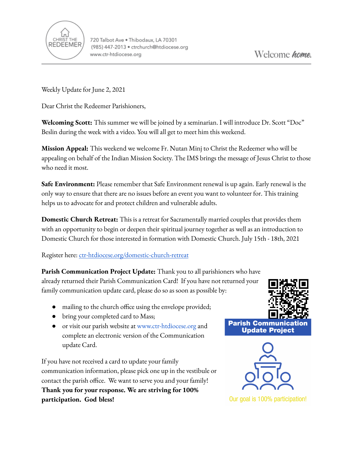

Weekly Update for June 2, 2021

Dear Christ the Redeemer Parishioners,

**Welcoming Scott:** This summer we will be joined by a seminarian. I will introduce Dr. Scott "Doc" Beslin during the week with a video. You will all get to meet him this weekend.

**Mission Appeal:** This weekend we welcome Fr. Nutan Minj to Christ the Redeemer who will be appealing on behalf of the Indian Mission Society. The IMS brings the message of Jesus Christ to those who need it most.

**Safe Environment:** Please remember that Safe Environment renewal is up again. Early renewal is the only way to ensure that there are no issues before an event you want to volunteer for. This training helps us to advocate for and protect children and vulnerable adults.

**Domestic Church Retreat:** This is a retreat for Sacramentally married couples that provides them with an opportunity to begin or deepen their spiritual journey together as well as an introduction to Domestic Church for those interested in formation with Domestic Church. July 15th - 18th, 2021

Register here: [ctr-htdiocese.org/domestic-church-retreat](https://www.ctr-htdiocese.org/domestic-church-retreat)

**Parish Communication Project Update:** Thank you to all parishioners who have already returned their Parish Communication Card! If you have not returned your family communication update card, please do so as soon as possible by:

- mailing to the church office using the envelope provided;
- bring your completed card to Mass;
- or visit our parish website a[t](http://www.church.org) [www.ctr-htdiocese.org](http://www.ctr-htdiocese.org) and complete an electronic version of the Communication update Card.

If you have not received a card to update your family communication information, please pick one up in the vestibule or contact the parish office. We want to serve you and your family! **Thank you for your response. We are striving for 100% participation. God bless!**





Our goal is 100% participation!